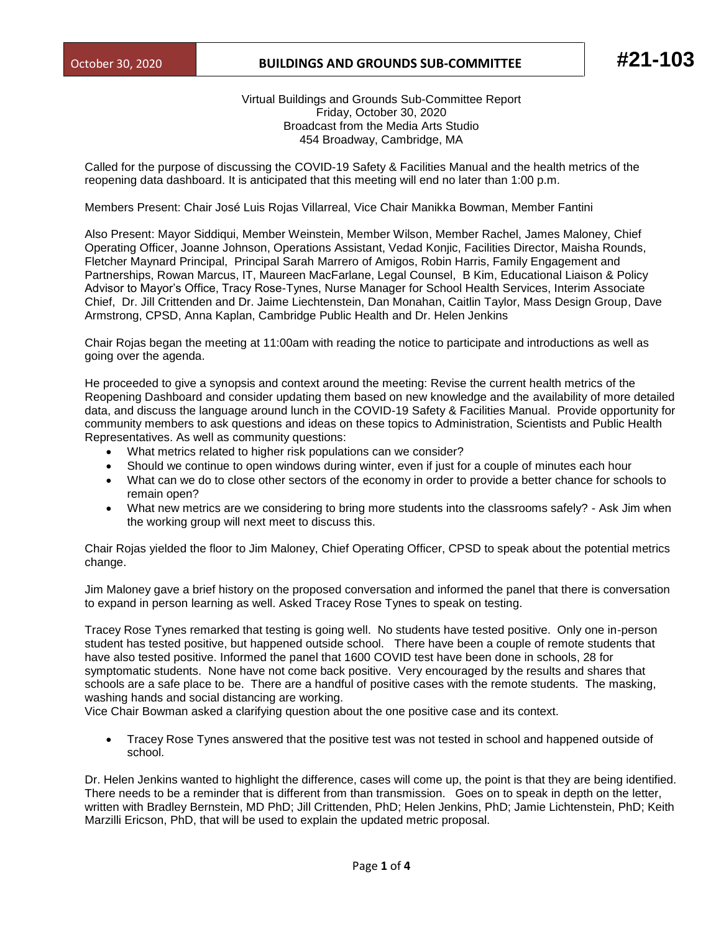## October 30, 2020 **BUILDINGS AND GROUNDS SUB-COMMITTEE #21-103**

Virtual Buildings and Grounds Sub-Committee Report Friday, October 30, 2020 Broadcast from the Media Arts Studio 454 Broadway, Cambridge, MA

Called for the purpose of discussing the COVID-19 Safety & Facilities Manual and the health metrics of the reopening data dashboard. It is anticipated that this meeting will end no later than 1:00 p.m.

Members Present: Chair José Luis Rojas Villarreal, Vice Chair Manikka Bowman, Member Fantini

Also Present: Mayor Siddiqui, Member Weinstein, Member Wilson, Member Rachel, James Maloney, Chief Operating Officer, Joanne Johnson, Operations Assistant, Vedad Konjic, Facilities Director, Maisha Rounds, Fletcher Maynard Principal, Principal Sarah Marrero of Amigos, Robin Harris, Family Engagement and Partnerships, Rowan Marcus, IT, Maureen MacFarlane, Legal Counsel, B Kim, Educational Liaison & Policy Advisor to Mayor's Office, Tracy Rose-Tynes, Nurse Manager for School Health Services, Interim Associate Chief, Dr. Jill Crittenden and Dr. Jaime Liechtenstein, Dan Monahan, Caitlin Taylor, Mass Design Group, Dave Armstrong, CPSD, Anna Kaplan, Cambridge Public Health and Dr. Helen Jenkins

Chair Rojas began the meeting at 11:00am with reading the notice to participate and introductions as well as going over the agenda.

He proceeded to give a synopsis and context around the meeting: Revise the current health metrics of the Reopening Dashboard and consider updating them based on new knowledge and the availability of more detailed data, and discuss the language around lunch in the COVID-19 Safety & Facilities Manual. Provide opportunity for community members to ask questions and ideas on these topics to Administration, Scientists and Public Health Representatives. As well as community questions:

- What metrics related to higher risk populations can we consider?
- Should we continue to open windows during winter, even if just for a couple of minutes each hour
- What can we do to close other sectors of the economy in order to provide a better chance for schools to remain open?
- What new metrics are we considering to bring more students into the classrooms safely? Ask Jim when the working group will next meet to discuss this.

Chair Rojas yielded the floor to Jim Maloney, Chief Operating Officer, CPSD to speak about the potential metrics change.

Jim Maloney gave a brief history on the proposed conversation and informed the panel that there is conversation to expand in person learning as well. Asked Tracey Rose Tynes to speak on testing.

Tracey Rose Tynes remarked that testing is going well. No students have tested positive. Only one in-person student has tested positive, but happened outside school. There have been a couple of remote students that have also tested positive. Informed the panel that 1600 COVID test have been done in schools, 28 for symptomatic students. None have not come back positive. Very encouraged by the results and shares that schools are a safe place to be. There are a handful of positive cases with the remote students. The masking, washing hands and social distancing are working.

Vice Chair Bowman asked a clarifying question about the one positive case and its context.

• Tracey Rose Tynes answered that the positive test was not tested in school and happened outside of school.

Dr. Helen Jenkins wanted to highlight the difference, cases will come up, the point is that they are being identified. There needs to be a reminder that is different from than transmission. Goes on to speak in depth on the letter, written with Bradley Bernstein, MD PhD; Jill Crittenden, PhD; Helen Jenkins, PhD; Jamie Lichtenstein, PhD; Keith Marzilli Ericson, PhD, that will be used to explain the updated metric proposal.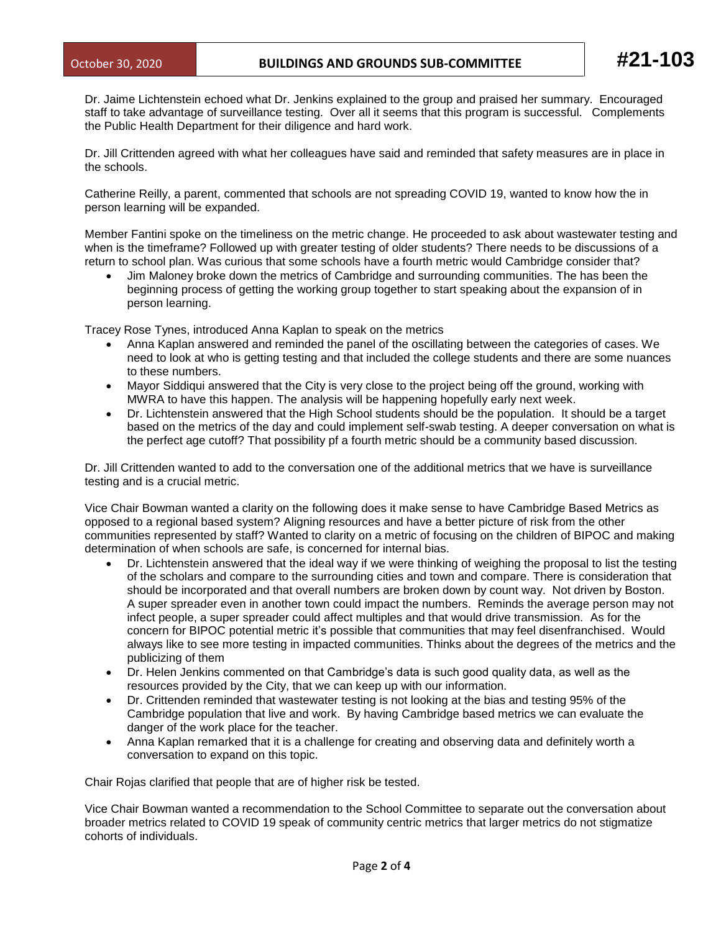Dr. Jaime Lichtenstein echoed what Dr. Jenkins explained to the group and praised her summary. Encouraged staff to take advantage of surveillance testing. Over all it seems that this program is successful. Complements the Public Health Department for their diligence and hard work.

Dr. Jill Crittenden agreed with what her colleagues have said and reminded that safety measures are in place in the schools.

Catherine Reilly, a parent, commented that schools are not spreading COVID 19, wanted to know how the in person learning will be expanded.

Member Fantini spoke on the timeliness on the metric change. He proceeded to ask about wastewater testing and when is the timeframe? Followed up with greater testing of older students? There needs to be discussions of a return to school plan. Was curious that some schools have a fourth metric would Cambridge consider that?

• Jim Maloney broke down the metrics of Cambridge and surrounding communities. The has been the beginning process of getting the working group together to start speaking about the expansion of in person learning.

Tracey Rose Tynes, introduced Anna Kaplan to speak on the metrics

- Anna Kaplan answered and reminded the panel of the oscillating between the categories of cases. We need to look at who is getting testing and that included the college students and there are some nuances to these numbers.
- Mayor Siddiqui answered that the City is very close to the project being off the ground, working with MWRA to have this happen. The analysis will be happening hopefully early next week.
- Dr. Lichtenstein answered that the High School students should be the population. It should be a target based on the metrics of the day and could implement self-swab testing. A deeper conversation on what is the perfect age cutoff? That possibility pf a fourth metric should be a community based discussion.

Dr. Jill Crittenden wanted to add to the conversation one of the additional metrics that we have is surveillance testing and is a crucial metric.

Vice Chair Bowman wanted a clarity on the following does it make sense to have Cambridge Based Metrics as opposed to a regional based system? Aligning resources and have a better picture of risk from the other communities represented by staff? Wanted to clarity on a metric of focusing on the children of BIPOC and making determination of when schools are safe, is concerned for internal bias.

- Dr. Lichtenstein answered that the ideal way if we were thinking of weighing the proposal to list the testing of the scholars and compare to the surrounding cities and town and compare. There is consideration that should be incorporated and that overall numbers are broken down by count way. Not driven by Boston. A super spreader even in another town could impact the numbers. Reminds the average person may not infect people, a super spreader could affect multiples and that would drive transmission. As for the concern for BIPOC potential metric it's possible that communities that may feel disenfranchised. Would always like to see more testing in impacted communities. Thinks about the degrees of the metrics and the publicizing of them
- Dr. Helen Jenkins commented on that Cambridge's data is such good quality data, as well as the resources provided by the City, that we can keep up with our information.
- Dr. Crittenden reminded that wastewater testing is not looking at the bias and testing 95% of the Cambridge population that live and work. By having Cambridge based metrics we can evaluate the danger of the work place for the teacher.
- Anna Kaplan remarked that it is a challenge for creating and observing data and definitely worth a conversation to expand on this topic.

Chair Rojas clarified that people that are of higher risk be tested.

Vice Chair Bowman wanted a recommendation to the School Committee to separate out the conversation about broader metrics related to COVID 19 speak of community centric metrics that larger metrics do not stigmatize cohorts of individuals.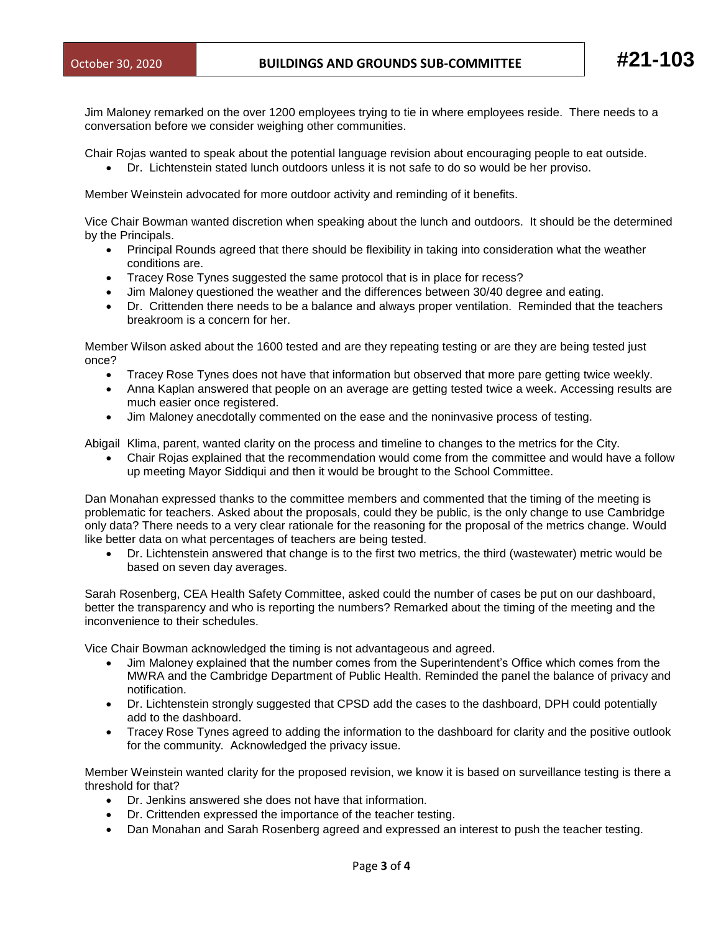Jim Maloney remarked on the over 1200 employees trying to tie in where employees reside. There needs to a conversation before we consider weighing other communities.

- Chair Rojas wanted to speak about the potential language revision about encouraging people to eat outside.
	- Dr. Lichtenstein stated lunch outdoors unless it is not safe to do so would be her proviso.

Member Weinstein advocated for more outdoor activity and reminding of it benefits.

Vice Chair Bowman wanted discretion when speaking about the lunch and outdoors. It should be the determined by the Principals.

- Principal Rounds agreed that there should be flexibility in taking into consideration what the weather conditions are.
- Tracey Rose Tynes suggested the same protocol that is in place for recess?
- Jim Maloney questioned the weather and the differences between 30/40 degree and eating.
- Dr. Crittenden there needs to be a balance and always proper ventilation. Reminded that the teachers breakroom is a concern for her.

Member Wilson asked about the 1600 tested and are they repeating testing or are they are being tested just once?

- Tracey Rose Tynes does not have that information but observed that more pare getting twice weekly.
- Anna Kaplan answered that people on an average are getting tested twice a week. Accessing results are much easier once registered.
- Jim Maloney anecdotally commented on the ease and the noninvasive process of testing.

Abigail Klima, parent, wanted clarity on the process and timeline to changes to the metrics for the City.

• Chair Rojas explained that the recommendation would come from the committee and would have a follow up meeting Mayor Siddiqui and then it would be brought to the School Committee.

Dan Monahan expressed thanks to the committee members and commented that the timing of the meeting is problematic for teachers. Asked about the proposals, could they be public, is the only change to use Cambridge only data? There needs to a very clear rationale for the reasoning for the proposal of the metrics change. Would like better data on what percentages of teachers are being tested.

• Dr. Lichtenstein answered that change is to the first two metrics, the third (wastewater) metric would be based on seven day averages.

Sarah Rosenberg, CEA Health Safety Committee, asked could the number of cases be put on our dashboard, better the transparency and who is reporting the numbers? Remarked about the timing of the meeting and the inconvenience to their schedules.

Vice Chair Bowman acknowledged the timing is not advantageous and agreed.

- Jim Maloney explained that the number comes from the Superintendent's Office which comes from the MWRA and the Cambridge Department of Public Health. Reminded the panel the balance of privacy and notification.
- Dr. Lichtenstein strongly suggested that CPSD add the cases to the dashboard, DPH could potentially add to the dashboard.
- Tracey Rose Tynes agreed to adding the information to the dashboard for clarity and the positive outlook for the community. Acknowledged the privacy issue.

Member Weinstein wanted clarity for the proposed revision, we know it is based on surveillance testing is there a threshold for that?

- Dr. Jenkins answered she does not have that information.
- Dr. Crittenden expressed the importance of the teacher testing.
- Dan Monahan and Sarah Rosenberg agreed and expressed an interest to push the teacher testing.